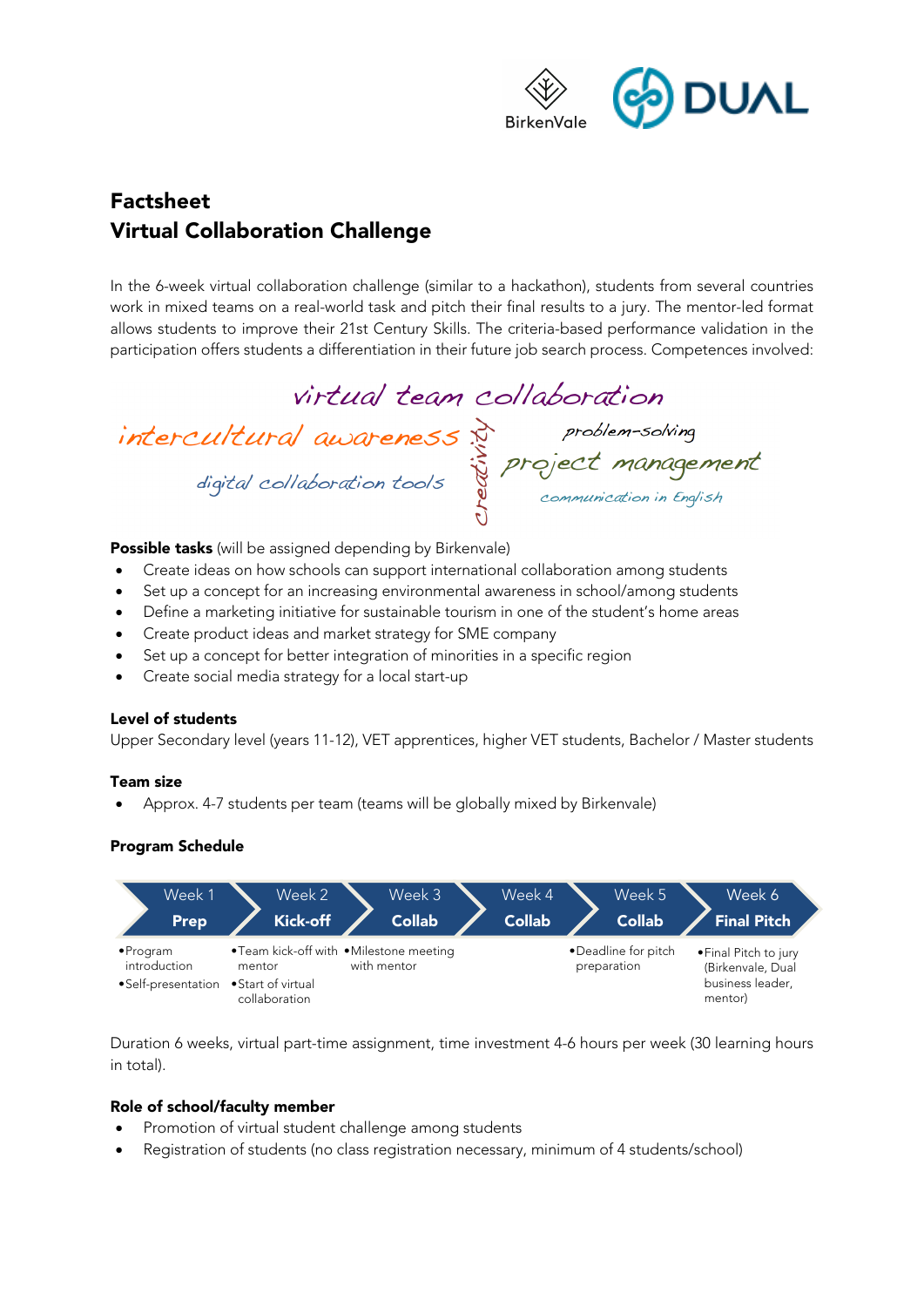

# Factsheet Virtual Collaboration Challenge

In the 6-week virtual collaboration challenge (similar to a hackathon), students from several countries work in mixed teams on a real-world task and pitch their final results to a jury. The mentor-led format allows students to improve their 21st Century Skills. The criteria-based performance validation in the participation offers students a differentiation in their future job search process. Competences involved:

virtual team collaboration intercultural awareness<br>digital collaboration tools<br>digital collaboration tools

**Possible tasks** (will be assigned depending by Birkenvale)

- Create ideas on how schools can support international collaboration among students
- Set up a concept for an increasing environmental awareness in school/among students
- Define a marketing initiative for sustainable tourism in one of the student's home areas
- Create product ideas and market strategy for SME company
- Set up a concept for better integration of minorities in a specific region
- Create social media strategy for a local start-up

#### Level of students

Upper Secondary level (years 11-12), VET apprentices, higher VET students, Bachelor / Master students

#### Team size

• Approx. 4-7 students per team (teams will be globally mixed by Birkenvale)

## Program Schedule



Duration 6 weeks, virtual part-time assignment, time investment 4-6 hours per week (30 learning hours in total).

## Role of school/faculty member

- Promotion of virtual student challenge among students
- Registration of students (no class registration necessary, minimum of 4 students/school)